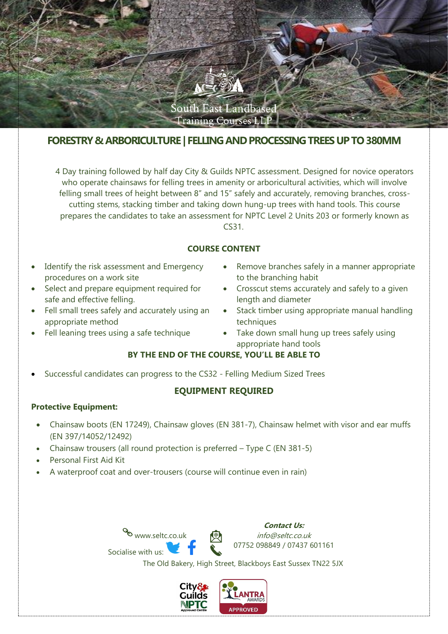

# **FORESTRY & ARBORICULTURE | FELLING AND PROCESSING TREES UP TO 380MM**

4 Day training followed by half day City & Guilds NPTC assessment. Designed for novice operators who operate chainsaws for felling trees in amenity or arboricultural activities, which will involve felling small trees of height between 8" and 15" safely and accurately, removing branches, crosscutting stems, stacking timber and taking down hung-up trees with hand tools. This course prepares the candidates to take an assessment for NPTC Level 2 Units 203 or formerly known as CS31.

### **COURSE CONTENT**

- Identify the risk assessment and Emergency procedures on a work site
- Select and prepare equipment required for safe and effective felling.
- Fell small trees safely and accurately using an appropriate method
- Fell leaning trees using a safe technique
- Remove branches safely in a manner appropriate to the branching habit
- Crosscut stems accurately and safely to a given length and diameter
- Stack timber using appropriate manual handling techniques
- Take down small hung up trees safely using appropriate hand tools

## **BY THE END OF THE COURSE, YOU'LL BE ABLE TO**

• Successful candidates can progress to the CS32 - Felling Medium Sized Trees

#### **EQUIPMENT REQUIRED**

#### **Protective Equipment:**

- Chainsaw boots (EN 17249), Chainsaw gloves (EN 381-7), Chainsaw helmet with visor and ear muffs (EN 397/14052/12492)
- Chainsaw trousers (all round protection is preferred Type C (EN 381-5)
- Personal First Aid Kit
- A waterproof coat and over-trousers (course will continue even in rain)



The Old Bakery, High Street, Blackboys East Sussex TN22 5JX